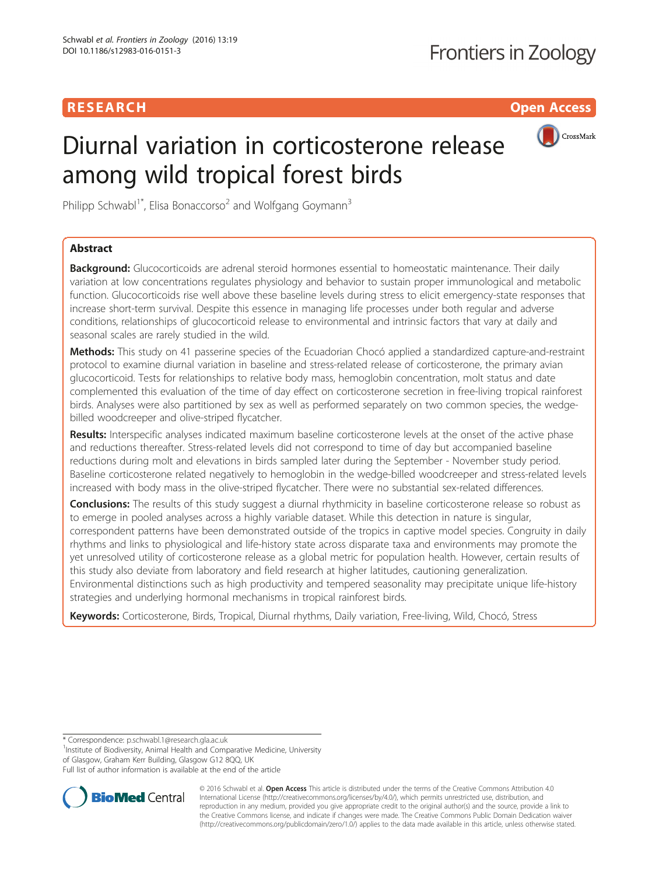# RESEARCH **RESEARCH CONSUMING THE CONSUMING THE CONSUMING THE CONSUMING TEAM Open Access**



Philipp Schwabl<sup>1\*</sup>, Elisa Bonaccorso<sup>2</sup> and Wolfgang Goymann<sup>3</sup>

among wild tropical forest birds

## Abstract

**Background:** Glucocorticoids are adrenal steroid hormones essential to homeostatic maintenance. Their daily variation at low concentrations regulates physiology and behavior to sustain proper immunological and metabolic function. Glucocorticoids rise well above these baseline levels during stress to elicit emergency-state responses that increase short-term survival. Despite this essence in managing life processes under both regular and adverse conditions, relationships of glucocorticoid release to environmental and intrinsic factors that vary at daily and seasonal scales are rarely studied in the wild.

Methods: This study on 41 passerine species of the Ecuadorian Chocó applied a standardized capture-and-restraint protocol to examine diurnal variation in baseline and stress-related release of corticosterone, the primary avian glucocorticoid. Tests for relationships to relative body mass, hemoglobin concentration, molt status and date complemented this evaluation of the time of day effect on corticosterone secretion in free-living tropical rainforest birds. Analyses were also partitioned by sex as well as performed separately on two common species, the wedgebilled woodcreeper and olive-striped flycatcher.

Results: Interspecific analyses indicated maximum baseline corticosterone levels at the onset of the active phase and reductions thereafter. Stress-related levels did not correspond to time of day but accompanied baseline reductions during molt and elevations in birds sampled later during the September - November study period. Baseline corticosterone related negatively to hemoglobin in the wedge-billed woodcreeper and stress-related levels increased with body mass in the olive-striped flycatcher. There were no substantial sex-related differences.

**Conclusions:** The results of this study suggest a diurnal rhythmicity in baseline corticosterone release so robust as to emerge in pooled analyses across a highly variable dataset. While this detection in nature is singular, correspondent patterns have been demonstrated outside of the tropics in captive model species. Congruity in daily rhythms and links to physiological and life-history state across disparate taxa and environments may promote the yet unresolved utility of corticosterone release as a global metric for population health. However, certain results of this study also deviate from laboratory and field research at higher latitudes, cautioning generalization. Environmental distinctions such as high productivity and tempered seasonality may precipitate unique life-history strategies and underlying hormonal mechanisms in tropical rainforest birds.

Keywords: Corticosterone, Birds, Tropical, Diurnal rhythms, Daily variation, Free-living, Wild, Chocó, Stress

\* Correspondence: [p.schwabl.1@research.gla.ac.uk](mailto:p.schwabl.1@research.gla.ac.uk) <sup>1</sup>

<sup>1</sup> Institute of Biodiversity, Animal Health and Comparative Medicine, University of Glasgow, Graham Kerr Building, Glasgow G12 8QQ, UK

Full list of author information is available at the end of the article



© 2016 Schwabl et al. **Open Access** This article is distributed under the terms of the Creative Commons Attribution 4.0 International License [\(http://creativecommons.org/licenses/by/4.0/](http://creativecommons.org/licenses/by/4.0/)), which permits unrestricted use, distribution, and reproduction in any medium, provided you give appropriate credit to the original author(s) and the source, provide a link to the Creative Commons license, and indicate if changes were made. The Creative Commons Public Domain Dedication waiver [\(http://creativecommons.org/publicdomain/zero/1.0/](http://creativecommons.org/publicdomain/zero/1.0/)) applies to the data made available in this article, unless otherwise stated.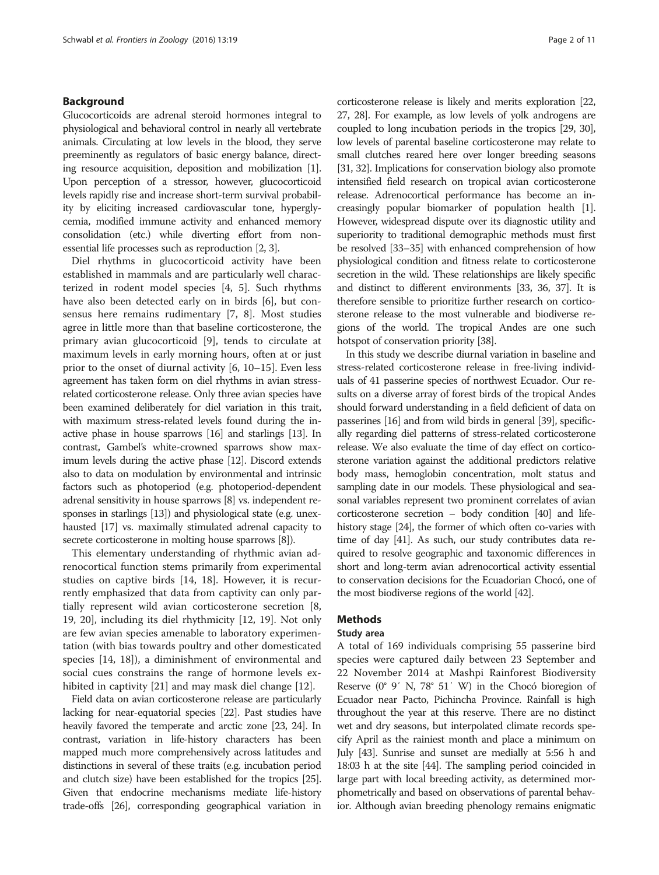## <span id="page-1-0"></span>Background

Glucocorticoids are adrenal steroid hormones integral to physiological and behavioral control in nearly all vertebrate animals. Circulating at low levels in the blood, they serve preeminently as regulators of basic energy balance, directing resource acquisition, deposition and mobilization [[1](#page-8-0)]. Upon perception of a stressor, however, glucocorticoid levels rapidly rise and increase short-term survival probability by eliciting increased cardiovascular tone, hyperglycemia, modified immune activity and enhanced memory consolidation (etc.) while diverting effort from nonessential life processes such as reproduction [[2](#page-8-0), [3\]](#page-8-0).

Diel rhythms in glucocorticoid activity have been established in mammals and are particularly well characterized in rodent model species [\[4](#page-8-0), [5\]](#page-8-0). Such rhythms have also been detected early on in birds [[6\]](#page-8-0), but consensus here remains rudimentary [[7, 8](#page-8-0)]. Most studies agree in little more than that baseline corticosterone, the primary avian glucocorticoid [[9\]](#page-8-0), tends to circulate at maximum levels in early morning hours, often at or just prior to the onset of diurnal activity [[6, 10](#page-8-0)–[15](#page-8-0)]. Even less agreement has taken form on diel rhythms in avian stressrelated corticosterone release. Only three avian species have been examined deliberately for diel variation in this trait, with maximum stress-related levels found during the inactive phase in house sparrows [[16](#page-8-0)] and starlings [[13](#page-8-0)]. In contrast, Gambel's white-crowned sparrows show maximum levels during the active phase [\[12\]](#page-8-0). Discord extends also to data on modulation by environmental and intrinsic factors such as photoperiod (e.g. photoperiod-dependent adrenal sensitivity in house sparrows [\[8\]](#page-8-0) vs. independent responses in starlings [\[13](#page-8-0)]) and physiological state (e.g. unexhausted [\[17\]](#page-8-0) vs. maximally stimulated adrenal capacity to secrete corticosterone in molting house sparrows [\[8\]](#page-8-0)).

This elementary understanding of rhythmic avian adrenocortical function stems primarily from experimental studies on captive birds [[14, 18](#page-8-0)]. However, it is recurrently emphasized that data from captivity can only partially represent wild avian corticosterone secretion [\[8](#page-8-0), [19, 20](#page-8-0)], including its diel rhythmicity [[12, 19\]](#page-8-0). Not only are few avian species amenable to laboratory experimentation (with bias towards poultry and other domesticated species [[14](#page-8-0), [18](#page-8-0)]), a diminishment of environmental and social cues constrains the range of hormone levels exhibited in captivity [\[21](#page-8-0)] and may mask diel change [[12\]](#page-8-0).

Field data on avian corticosterone release are particularly lacking for near-equatorial species [\[22\]](#page-8-0). Past studies have heavily favored the temperate and arctic zone [\[23, 24](#page-8-0)]. In contrast, variation in life-history characters has been mapped much more comprehensively across latitudes and distinctions in several of these traits (e.g. incubation period and clutch size) have been established for the tropics [\[25](#page-8-0)]. Given that endocrine mechanisms mediate life-history trade-offs [\[26\]](#page-8-0), corresponding geographical variation in corticosterone release is likely and merits exploration [\[22](#page-8-0), [27](#page-8-0), [28\]](#page-8-0). For example, as low levels of yolk androgens are coupled to long incubation periods in the tropics [\[29](#page-8-0), [30](#page-8-0)], low levels of parental baseline corticosterone may relate to small clutches reared here over longer breeding seasons [[31](#page-8-0), [32](#page-8-0)]. Implications for conservation biology also promote intensified field research on tropical avian corticosterone release. Adrenocortical performance has become an increasingly popular biomarker of population health [[1](#page-8-0)]. However, widespread dispute over its diagnostic utility and superiority to traditional demographic methods must first be resolved [\[33](#page-8-0)–[35\]](#page-8-0) with enhanced comprehension of how physiological condition and fitness relate to corticosterone secretion in the wild. These relationships are likely specific and distinct to different environments [[33](#page-8-0), [36](#page-8-0), [37\]](#page-8-0). It is therefore sensible to prioritize further research on corticosterone release to the most vulnerable and biodiverse regions of the world. The tropical Andes are one such hotspot of conservation priority [\[38\]](#page-8-0).

In this study we describe diurnal variation in baseline and stress-related corticosterone release in free-living individuals of 41 passerine species of northwest Ecuador. Our results on a diverse array of forest birds of the tropical Andes should forward understanding in a field deficient of data on passerines [\[16](#page-8-0)] and from wild birds in general [\[39\]](#page-8-0), specifically regarding diel patterns of stress-related corticosterone release. We also evaluate the time of day effect on corticosterone variation against the additional predictors relative body mass, hemoglobin concentration, molt status and sampling date in our models. These physiological and seasonal variables represent two prominent correlates of avian corticosterone secretion – body condition [\[40\]](#page-9-0) and lifehistory stage [\[24\]](#page-8-0), the former of which often co-varies with time of day [[41](#page-9-0)]. As such, our study contributes data required to resolve geographic and taxonomic differences in short and long-term avian adrenocortical activity essential to conservation decisions for the Ecuadorian Chocó, one of the most biodiverse regions of the world [\[42](#page-9-0)].

## Methods

#### Study area

A total of 169 individuals comprising 55 passerine bird species were captured daily between 23 September and 22 November 2014 at Mashpi Rainforest Biodiversity Reserve (0° 9′ N, 78° 51′ W) in the Chocó bioregion of Ecuador near Pacto, Pichincha Province. Rainfall is high throughout the year at this reserve. There are no distinct wet and dry seasons, but interpolated climate records specify April as the rainiest month and place a minimum on July [\[43](#page-9-0)]. Sunrise and sunset are medially at 5:56 h and 18:03 h at the site [[44](#page-9-0)]. The sampling period coincided in large part with local breeding activity, as determined morphometrically and based on observations of parental behavior. Although avian breeding phenology remains enigmatic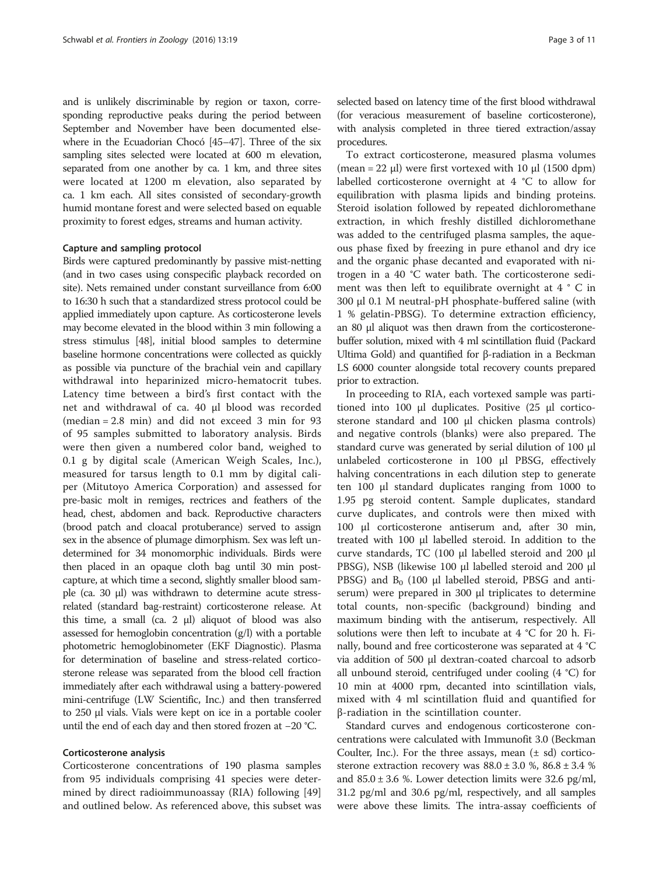and is unlikely discriminable by region or taxon, corresponding reproductive peaks during the period between September and November have been documented elsewhere in the Ecuadorian Chocó [\[45](#page-9-0)–[47\]](#page-9-0). Three of the six sampling sites selected were located at 600 m elevation, separated from one another by ca. 1 km, and three sites were located at 1200 m elevation, also separated by ca. 1 km each. All sites consisted of secondary-growth humid montane forest and were selected based on equable proximity to forest edges, streams and human activity.

### Capture and sampling protocol

Birds were captured predominantly by passive mist-netting (and in two cases using conspecific playback recorded on site). Nets remained under constant surveillance from 6:00 to 16:30 h such that a standardized stress protocol could be applied immediately upon capture. As corticosterone levels may become elevated in the blood within 3 min following a stress stimulus [\[48\]](#page-9-0), initial blood samples to determine baseline hormone concentrations were collected as quickly as possible via puncture of the brachial vein and capillary withdrawal into heparinized micro-hematocrit tubes. Latency time between a bird's first contact with the net and withdrawal of ca. 40 μl blood was recorded (median = 2.8 min) and did not exceed 3 min for 93 of 95 samples submitted to laboratory analysis. Birds were then given a numbered color band, weighed to 0.1 g by digital scale (American Weigh Scales, Inc.), measured for tarsus length to 0.1 mm by digital caliper (Mitutoyo America Corporation) and assessed for pre-basic molt in remiges, rectrices and feathers of the head, chest, abdomen and back. Reproductive characters (brood patch and cloacal protuberance) served to assign sex in the absence of plumage dimorphism. Sex was left undetermined for 34 monomorphic individuals. Birds were then placed in an opaque cloth bag until 30 min postcapture, at which time a second, slightly smaller blood sample (ca. 30 μl) was withdrawn to determine acute stressrelated (standard bag-restraint) corticosterone release. At this time, a small (ca. 2  $\mu$ ) aliquot of blood was also assessed for hemoglobin concentration (g/l) with a portable photometric hemoglobinometer (EKF Diagnostic). Plasma for determination of baseline and stress-related corticosterone release was separated from the blood cell fraction immediately after each withdrawal using a battery-powered mini-centrifuge (LW Scientific, Inc.) and then transferred to 250 μl vials. Vials were kept on ice in a portable cooler until the end of each day and then stored frozen at −20 °C.

#### Corticosterone analysis

Corticosterone concentrations of 190 plasma samples from 95 individuals comprising 41 species were determined by direct radioimmunoassay (RIA) following [[49](#page-9-0)] and outlined below. As referenced above, this subset was selected based on latency time of the first blood withdrawal (for veracious measurement of baseline corticosterone), with analysis completed in three tiered extraction/assay procedures.

To extract corticosterone, measured plasma volumes (mean =  $22 \mu$ ) were first vortexed with 10  $\mu$ l (1500 dpm) labelled corticosterone overnight at 4 °C to allow for equilibration with plasma lipids and binding proteins. Steroid isolation followed by repeated dichloromethane extraction, in which freshly distilled dichloromethane was added to the centrifuged plasma samples, the aqueous phase fixed by freezing in pure ethanol and dry ice and the organic phase decanted and evaporated with nitrogen in a 40 °C water bath. The corticosterone sediment was then left to equilibrate overnight at 4 ° C in 300 μl 0.1 M neutral-pH phosphate-buffered saline (with 1 % gelatin-PBSG). To determine extraction efficiency, an 80 μl aliquot was then drawn from the corticosteronebuffer solution, mixed with 4 ml scintillation fluid (Packard Ultima Gold) and quantified for β-radiation in a Beckman LS 6000 counter alongside total recovery counts prepared prior to extraction.

In proceeding to RIA, each vortexed sample was partitioned into 100 μl duplicates. Positive (25 μl corticosterone standard and 100 μl chicken plasma controls) and negative controls (blanks) were also prepared. The standard curve was generated by serial dilution of 100 μl unlabeled corticosterone in 100 μl PBSG, effectively halving concentrations in each dilution step to generate ten 100 μl standard duplicates ranging from 1000 to 1.95 pg steroid content. Sample duplicates, standard curve duplicates, and controls were then mixed with 100 μl corticosterone antiserum and, after 30 min, treated with 100 μl labelled steroid. In addition to the curve standards, TC (100 μl labelled steroid and 200 μl PBSG), NSB (likewise 100 μl labelled steroid and 200 μl PBSG) and  $B_0$  (100 μl labelled steroid, PBSG and antiserum) were prepared in 300 μl triplicates to determine total counts, non-specific (background) binding and maximum binding with the antiserum, respectively. All solutions were then left to incubate at 4 °C for 20 h. Finally, bound and free corticosterone was separated at 4 °C via addition of 500 μl dextran-coated charcoal to adsorb all unbound steroid, centrifuged under cooling (4 °C) for 10 min at 4000 rpm, decanted into scintillation vials, mixed with 4 ml scintillation fluid and quantified for β-radiation in the scintillation counter.

Standard curves and endogenous corticosterone concentrations were calculated with Immunofit 3.0 (Beckman Coulter, Inc.). For the three assays, mean  $(\pm \text{ sd})$  corticosterone extraction recovery was  $88.0 \pm 3.0$  %,  $86.8 \pm 3.4$  % and  $85.0 \pm 3.6$  %. Lower detection limits were 32.6 pg/ml, 31.2 pg/ml and 30.6 pg/ml, respectively, and all samples were above these limits. The intra-assay coefficients of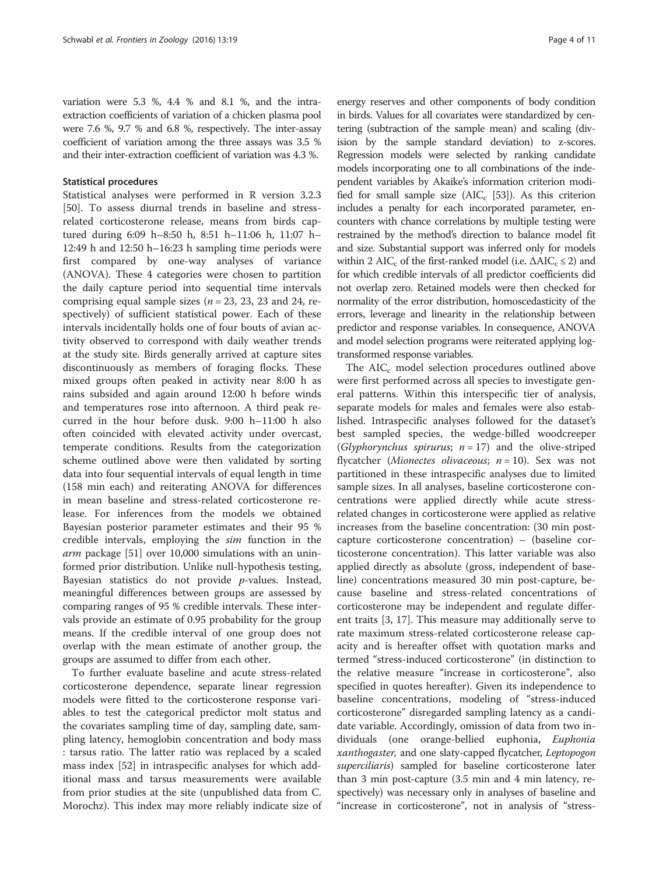variation were 5.3 %, 4.4 % and 8.1 %, and the intraextraction coefficients of variation of a chicken plasma pool were 7.6 %, 9.7 % and 6.8 %, respectively. The inter-assay coefficient of variation among the three assays was 3.5 % and their inter-extraction coefficient of variation was 4.3 %.

## Statistical procedures

Statistical analyses were performed in R version 3.2.3 [[50\]](#page-9-0). To assess diurnal trends in baseline and stressrelated corticosterone release, means from birds captured during 6:09 h–8:50 h, 8:51 h–11:06 h, 11:07 h– 12:49 h and 12:50 h–16:23 h sampling time periods were first compared by one-way analyses of variance (ANOVA). These 4 categories were chosen to partition the daily capture period into sequential time intervals comprising equal sample sizes ( $n = 23$ , 23, 23 and 24, respectively) of sufficient statistical power. Each of these intervals incidentally holds one of four bouts of avian activity observed to correspond with daily weather trends at the study site. Birds generally arrived at capture sites discontinuously as members of foraging flocks. These mixed groups often peaked in activity near 8:00 h as rains subsided and again around 12:00 h before winds and temperatures rose into afternoon. A third peak recurred in the hour before dusk. 9:00 h–11:00 h also often coincided with elevated activity under overcast, temperate conditions. Results from the categorization scheme outlined above were then validated by sorting data into four sequential intervals of equal length in time (158 min each) and reiterating ANOVA for differences in mean baseline and stress-related corticosterone release. For inferences from the models we obtained Bayesian posterior parameter estimates and their 95 % credible intervals, employing the sim function in the arm package [[51\]](#page-9-0) over 10,000 simulations with an uninformed prior distribution. Unlike null-hypothesis testing, Bayesian statistics do not provide p-values. Instead, meaningful differences between groups are assessed by comparing ranges of 95 % credible intervals. These intervals provide an estimate of 0.95 probability for the group means. If the credible interval of one group does not overlap with the mean estimate of another group, the groups are assumed to differ from each other.

To further evaluate baseline and acute stress-related corticosterone dependence, separate linear regression models were fitted to the corticosterone response variables to test the categorical predictor molt status and the covariates sampling time of day, sampling date, sampling latency, hemoglobin concentration and body mass : tarsus ratio. The latter ratio was replaced by a scaled mass index [[52\]](#page-9-0) in intraspecific analyses for which additional mass and tarsus measurements were available from prior studies at the site (unpublished data from C. Morochz). This index may more reliably indicate size of energy reserves and other components of body condition in birds. Values for all covariates were standardized by centering (subtraction of the sample mean) and scaling (division by the sample standard deviation) to z-scores. Regression models were selected by ranking candidate models incorporating one to all combinations of the independent variables by Akaike's information criterion modi-fied for small sample size (AIC<sub>c</sub> [\[53](#page-9-0)]). As this criterion includes a penalty for each incorporated parameter, encounters with chance correlations by multiple testing were restrained by the method's direction to balance model fit and size. Substantial support was inferred only for models within 2 AIC<sub>c</sub> of the first-ranked model (i.e.  $\Delta AIC_c \leq 2$ ) and for which credible intervals of all predictor coefficients did not overlap zero. Retained models were then checked for normality of the error distribution, homoscedasticity of the errors, leverage and linearity in the relationship between predictor and response variables. In consequence, ANOVA and model selection programs were reiterated applying logtransformed response variables.

The  $AIC_c$  model selection procedures outlined above were first performed across all species to investigate general patterns. Within this interspecific tier of analysis, separate models for males and females were also established. Intraspecific analyses followed for the dataset's best sampled species, the wedge-billed woodcreeper (Glyphorynchus spirurus;  $n = 17$ ) and the olive-striped flycatcher (Mionectes olivaceous;  $n = 10$ ). Sex was not partitioned in these intraspecific analyses due to limited sample sizes. In all analyses, baseline corticosterone concentrations were applied directly while acute stressrelated changes in corticosterone were applied as relative increases from the baseline concentration: (30 min postcapture corticosterone concentration) – (baseline corticosterone concentration). This latter variable was also applied directly as absolute (gross, independent of baseline) concentrations measured 30 min post-capture, because baseline and stress-related concentrations of corticosterone may be independent and regulate different traits [\[3, 17](#page-8-0)]. This measure may additionally serve to rate maximum stress-related corticosterone release capacity and is hereafter offset with quotation marks and termed "stress-induced corticosterone" (in distinction to the relative measure "increase in corticosterone", also specified in quotes hereafter). Given its independence to baseline concentrations, modeling of "stress-induced corticosterone" disregarded sampling latency as a candidate variable. Accordingly, omission of data from two individuals (one orange-bellied euphonia, Euphonia xanthogaster, and one slaty-capped flycatcher, Leptopogon superciliaris) sampled for baseline corticosterone later than 3 min post-capture (3.5 min and 4 min latency, respectively) was necessary only in analyses of baseline and "increase in corticosterone", not in analysis of "stress-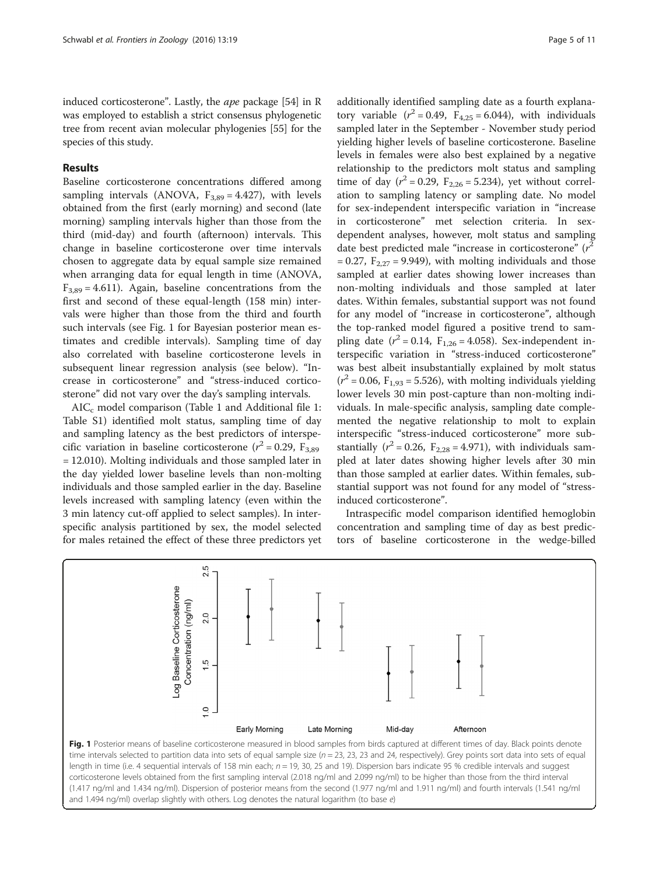induced corticosterone". Lastly, the ape package [[54](#page-9-0)] in R was employed to establish a strict consensus phylogenetic tree from recent avian molecular phylogenies [\[55\]](#page-9-0) for the species of this study.

## Results

Baseline corticosterone concentrations differed among sampling intervals (ANOVA,  $F_{3,89} = 4.427$ ), with levels obtained from the first (early morning) and second (late morning) sampling intervals higher than those from the third (mid-day) and fourth (afternoon) intervals. This change in baseline corticosterone over time intervals chosen to aggregate data by equal sample size remained when arranging data for equal length in time (ANOVA,  $F_{3,89} = 4.611$ ). Again, baseline concentrations from the first and second of these equal-length (158 min) intervals were higher than those from the third and fourth such intervals (see Fig. 1 for Bayesian posterior mean estimates and credible intervals). Sampling time of day also correlated with baseline corticosterone levels in subsequent linear regression analysis (see below). "Increase in corticosterone" and "stress-induced corticosterone" did not vary over the day's sampling intervals.

 $AIC<sub>c</sub>$  model comparison (Table [1](#page-7-0) and Additional file 1: Table S1) identified molt status, sampling time of day and sampling latency as the best predictors of interspecific variation in baseline corticosterone  $(r^2 = 0.29, F_{3,89})$ <br>= 12.010) Molting individuals and those sampled later in = 12.010). Molting individuals and those sampled later in the day yielded lower baseline levels than non-molting individuals and those sampled earlier in the day. Baseline levels increased with sampling latency (even within the 3 min latency cut-off applied to select samples). In interspecific analysis partitioned by sex, the model selected for males retained the effect of these three predictors yet

additionally identified sampling date as a fourth explanatory variable  $(r^2 = 0.49, F_{4,25} = 6.044)$ , with individuals<br>sampled later in the September - November study period sampled later in the September - November study period yielding higher levels of baseline corticosterone. Baseline levels in females were also best explained by a negative relationship to the predictors molt status and sampling time of day  $(r^2 = 0.29, F_{2,26} = 5.234)$ , yet without correl-<br>ation to sampling latency or sampling date. No model ation to sampling latency or sampling date. No model for sex-independent interspecific variation in "increase in corticosterone" met selection criteria. In sexdependent analyses, however, molt status and sampling date best predicted male "increase in corticosterone"  $(r^2 - 0.27)$  F<sub>rea</sub> – 9.949) with molting individuals and those  $= 0.27$ ,  $F_{2,27} = 9.949$ , with molting individuals and those sampled at earlier dates showing lower increases than non-molting individuals and those sampled at later dates. Within females, substantial support was not found for any model of "increase in corticosterone", although the top-ranked model figured a positive trend to sampling date  $(r^2 = 0.14, F_{1,26} = 4.058)$ . Sex-independent in-<br>termedic variation in "stress-induced continuations" terspecific variation in "stress-induced corticosterone" was best albeit insubstantially explained by molt status  $(r^2 = 0.06, F_{1,93} = 5.526)$ , with molting individuals yielding<br>lower levels 30 min post-capture than non-molting indilower levels 30 min post-capture than non-molting individuals. In male-specific analysis, sampling date complemented the negative relationship to molt to explain interspecific "stress-induced corticosterone" more substantially  $(r^2 = 0.26, F_{2,28} = 4.971)$ , with individuals sam-<br>pled at later dates showing bigher levels after 30 min pled at later dates showing higher levels after 30 min than those sampled at earlier dates. Within females, substantial support was not found for any model of "stressinduced corticosterone".

Intraspecific model comparison identified hemoglobin concentration and sampling time of day as best predictors of baseline corticosterone in the wedge-billed



![](_page_4_Figure_9.jpeg)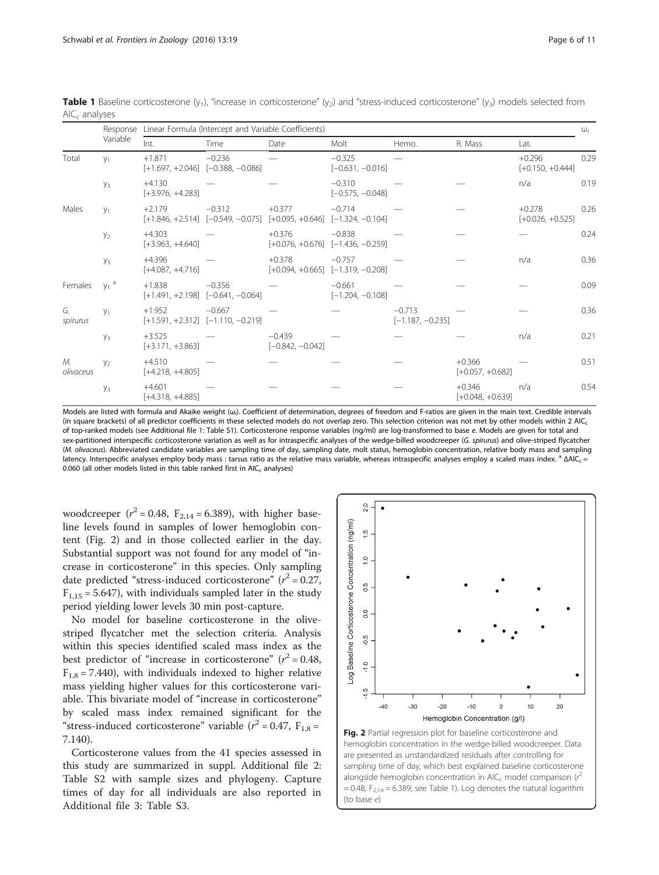|                 | Response<br>Variable | Linear Formula (Intercept and Variable Coefficients) |                                                                                         |                                |                                |                                |                                |                                | $\omega_i$ |
|-----------------|----------------------|------------------------------------------------------|-----------------------------------------------------------------------------------------|--------------------------------|--------------------------------|--------------------------------|--------------------------------|--------------------------------|------------|
|                 |                      | Int.                                                 | Time                                                                                    | Date                           | Molt                           | Hemo.                          | R. Mass                        | Lat.                           |            |
| Total           | $y_1$                | $+1.871$                                             | $-0.236$<br>$[-1.697, +2.046]$ $[-0.388, -0.086]$                                       |                                | $-0.325$<br>$[-0.631, -0.016]$ |                                |                                | $+0.296$<br>$[+0.150, +0.444]$ | 0.29       |
|                 | Уз                   | $+4.130$<br>$[+3.976, +4.283]$                       |                                                                                         |                                | $-0.310$<br>$[-0.575, -0.048]$ |                                |                                | n/a                            | 0.19       |
| Males           | $y_1$                | $+2.179$                                             | $-0.312$<br>$[-1.846, +2.514]$ $[-0.549, -0.075]$ $[+0.095, +0.646]$ $[-1.324, -0.104]$ | $+0.377$                       | $-0.714$                       |                                |                                | $+0.278$<br>$[+0.026, +0.525]$ | 0.26       |
|                 | $y_2$                | $+4.303$<br>$[+3.963, +4.640]$                       |                                                                                         | $+0.376$<br>$[-0.076, +0.676]$ | $-0.838$<br>$[-1.436, -0.259]$ |                                |                                |                                | 0.24       |
|                 | Уз                   | $+4.396$<br>$[+4.087, +4.716]$                       |                                                                                         | $+0.378$                       | $-0.757$<br>$[-1.319, -0.208]$ |                                |                                | n/a                            | 0.36       |
| Females         | $y_1$ <sup>a</sup>   | $+1.838$                                             | $-0.356$<br>$[-1.491, +2.198]$ $[-0.641, -0.064]$                                       |                                | $-0.661$<br>$[-1.204, -0.108]$ |                                |                                |                                | 0.09       |
| G.<br>spirurus  | $y_1$                | $+1.952$                                             | $-0.667$<br>$[-1.591, +2.312]$ $[-1.110, -0.219]$                                       |                                |                                | $-0.713$<br>$[-1.187, -0.235]$ |                                |                                | 0.36       |
|                 | У <sub>3</sub>       | $+3.525$<br>$[+3.171, +3.863]$                       |                                                                                         | $-0.439$<br>$[-0.842, -0.042]$ |                                |                                |                                | n/a                            | 0.21       |
| М.<br>olivaceus | $y_2$                | $+4.510$<br>$[+4.218, +4.805]$                       |                                                                                         |                                |                                |                                | $+0.366$<br>$[-0.057, +0.682]$ |                                | 0.51       |
|                 | $y_3$                | $+4.601$<br>$[-4.318, +4.885]$                       |                                                                                         |                                |                                |                                | $+0.346$<br>$[-0.048, +0.639]$ | n/a                            | 0.54       |

<span id="page-5-0"></span>**Table 1** Baseline corticosterone  $(y_1)$ , "increase in corticosterone"  $(y_2)$  and "stress-induced corticosterone"  $(y_3)$  models selected from  $AIC<sub>c</sub>$  analyses

Models are listed with formula and Akaike weight ( $\omega_i$ ). Coefficient of determination, degrees of freedom and F-ratios are given in the main text. Credible intervals (in square brackets) of all predictor coefficients in these selected models do not overlap zero. This selection criterion was not met by other models within 2 AIC of top-ranked models (see Additional file [1](#page-7-0): Table S1). Corticosterone response variables (ng/ml) are log-transformed to base e. Models are given for total and sex-partitioned interspecific corticosterone variation as well as for intraspecific analyses of the wedge-billed woodcreeper (G. spirurus) and olive-striped flycatcher (M. olivaceus). Abbreviated candidate variables are sampling time of day, sampling date, molt status, hemoglobin concentration, relative body mass and sampling latency. Interspecific analyses employ body mass : tarsus ratio as the relative mass variable, whereas intraspecific analyses employ a scaled mass index.  $^{\circ}$   $\Delta$ AIC<sub>c</sub> = 0.060 (all other models listed in this table ranked first in  $AIC_c$  analyses)

woodcreeper  $(r^2 = 0.48, F_{2,14} = 6.389)$ , with higher base-<br>line levels found in samples of lower hemoglobin conline levels found in samples of lower hemoglobin content (Fig. 2) and in those collected earlier in the day. Substantial support was not found for any model of "increase in corticosterone" in this species. Only sampling date predicted "stress-induced corticosterone"  $(r^2 = 0.27,$ <br>E<sub>nd</sub> = 5.647), with individuals sampled later in the study  $F_{1,15} = 5.647$ , with individuals sampled later in the study period yielding lower levels 30 min post-capture.

No model for baseline corticosterone in the olivestriped flycatcher met the selection criteria. Analysis within this species identified scaled mass index as the best predictor of "increase in corticosterone"  $(r^2 = 0.48,$ <br>Eq.  $-7.440)$  with individuals indexed to higher relative  $F_{1,8} = 7.440$ ), with individuals indexed to higher relative mass yielding higher values for this corticosterone variable. This bivariate model of "increase in corticosterone" by scaled mass index remained significant for the "stress-induced corticosterone" variable  $(r^2 = 0.47, F_{1,8} = 7,140)$ 7.140).

Corticosterone values from the 41 species assessed in this study are summarized in suppl. Additional file [2](#page-7-0): Table S2 with sample sizes and phylogeny. Capture times of day for all individuals are also reported in Additional file [3](#page-7-0): Table S3.

![](_page_5_Figure_8.jpeg)

Fig. 2 Partial regression plot for baseline corticosterone and hemoglobin concentration in the wedge-billed woodcreeper. Data are presented as unstandardized residuals after controlling for sampling time of day, which best explained baseline corticosterone alongside hemoglobin concentration in AIC<sub>c</sub> model comparison ( $r^2$  $= 0.48$ ,  $F_{2,14} = 6.389$ ; see Table 1). Log denotes the natural logarithm (to base e)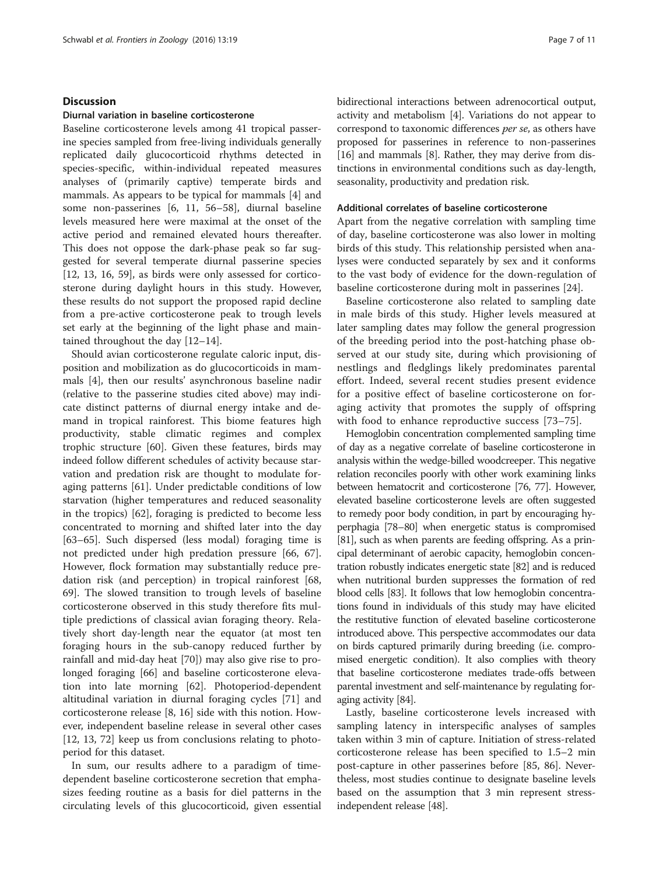## **Discussion**

#### Diurnal variation in baseline corticosterone

Baseline corticosterone levels among 41 tropical passerine species sampled from free-living individuals generally replicated daily glucocorticoid rhythms detected in species-specific, within-individual repeated measures analyses of (primarily captive) temperate birds and mammals. As appears to be typical for mammals [\[4](#page-8-0)] and some non-passerines [[6](#page-8-0), [11](#page-8-0), [56](#page-9-0)–[58](#page-9-0)], diurnal baseline levels measured here were maximal at the onset of the active period and remained elevated hours thereafter. This does not oppose the dark-phase peak so far suggested for several temperate diurnal passerine species [[12, 13](#page-8-0), [16,](#page-8-0) [59\]](#page-9-0), as birds were only assessed for corticosterone during daylight hours in this study. However, these results do not support the proposed rapid decline from a pre-active corticosterone peak to trough levels set early at the beginning of the light phase and maintained throughout the day [[12](#page-8-0)–[14](#page-8-0)].

Should avian corticosterone regulate caloric input, disposition and mobilization as do glucocorticoids in mammals [\[4](#page-8-0)], then our results' asynchronous baseline nadir (relative to the passerine studies cited above) may indicate distinct patterns of diurnal energy intake and demand in tropical rainforest. This biome features high productivity, stable climatic regimes and complex trophic structure [\[60](#page-9-0)]. Given these features, birds may indeed follow different schedules of activity because starvation and predation risk are thought to modulate foraging patterns [[61\]](#page-9-0). Under predictable conditions of low starvation (higher temperatures and reduced seasonality in the tropics) [\[62\]](#page-9-0), foraging is predicted to become less concentrated to morning and shifted later into the day [[63](#page-9-0)–[65](#page-9-0)]. Such dispersed (less modal) foraging time is not predicted under high predation pressure [\[66](#page-9-0), [67](#page-9-0)]. However, flock formation may substantially reduce predation risk (and perception) in tropical rainforest [[68](#page-9-0), [69\]](#page-9-0). The slowed transition to trough levels of baseline corticosterone observed in this study therefore fits multiple predictions of classical avian foraging theory. Relatively short day-length near the equator (at most ten foraging hours in the sub-canopy reduced further by rainfall and mid-day heat [[70](#page-9-0)]) may also give rise to prolonged foraging [[66](#page-9-0)] and baseline corticosterone elevation into late morning [\[62](#page-9-0)]. Photoperiod-dependent altitudinal variation in diurnal foraging cycles [\[71\]](#page-9-0) and corticosterone release [[8, 16\]](#page-8-0) side with this notion. However, independent baseline release in several other cases [[12, 13](#page-8-0), [72\]](#page-9-0) keep us from conclusions relating to photoperiod for this dataset.

In sum, our results adhere to a paradigm of timedependent baseline corticosterone secretion that emphasizes feeding routine as a basis for diel patterns in the circulating levels of this glucocorticoid, given essential bidirectional interactions between adrenocortical output, activity and metabolism [[4](#page-8-0)]. Variations do not appear to correspond to taxonomic differences per se, as others have proposed for passerines in reference to non-passerines [[16](#page-8-0)] and mammals [[8\]](#page-8-0). Rather, they may derive from distinctions in environmental conditions such as day-length, seasonality, productivity and predation risk.

#### Additional correlates of baseline corticosterone

Apart from the negative correlation with sampling time of day, baseline corticosterone was also lower in molting birds of this study. This relationship persisted when analyses were conducted separately by sex and it conforms to the vast body of evidence for the down-regulation of baseline corticosterone during molt in passerines [\[24\]](#page-8-0).

Baseline corticosterone also related to sampling date in male birds of this study. Higher levels measured at later sampling dates may follow the general progression of the breeding period into the post-hatching phase observed at our study site, during which provisioning of nestlings and fledglings likely predominates parental effort. Indeed, several recent studies present evidence for a positive effect of baseline corticosterone on foraging activity that promotes the supply of offspring with food to enhance reproductive success [\[73](#page-9-0)–[75](#page-9-0)].

Hemoglobin concentration complemented sampling time of day as a negative correlate of baseline corticosterone in analysis within the wedge-billed woodcreeper. This negative relation reconciles poorly with other work examining links between hematocrit and corticosterone [\[76, 77](#page-9-0)]. However, elevated baseline corticosterone levels are often suggested to remedy poor body condition, in part by encouraging hyperphagia [\[78](#page-9-0)–[80\]](#page-9-0) when energetic status is compromised [[81](#page-9-0)], such as when parents are feeding offspring. As a principal determinant of aerobic capacity, hemoglobin concentration robustly indicates energetic state [\[82\]](#page-9-0) and is reduced when nutritional burden suppresses the formation of red blood cells [\[83\]](#page-9-0). It follows that low hemoglobin concentrations found in individuals of this study may have elicited the restitutive function of elevated baseline corticosterone introduced above. This perspective accommodates our data on birds captured primarily during breeding (i.e. compromised energetic condition). It also complies with theory that baseline corticosterone mediates trade-offs between parental investment and self-maintenance by regulating foraging activity [\[84\]](#page-9-0).

Lastly, baseline corticosterone levels increased with sampling latency in interspecific analyses of samples taken within 3 min of capture. Initiation of stress-related corticosterone release has been specified to 1.5–2 min post-capture in other passerines before [[85, 86\]](#page-9-0). Nevertheless, most studies continue to designate baseline levels based on the assumption that 3 min represent stressindependent release [\[48\]](#page-9-0).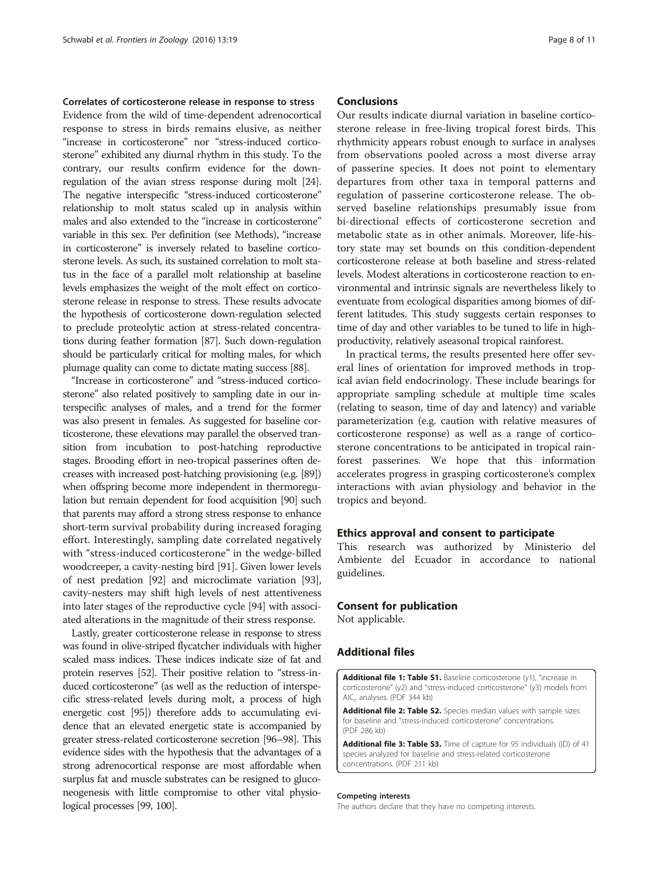### <span id="page-7-0"></span>Correlates of corticosterone release in response to stress

Evidence from the wild of time-dependent adrenocortical response to stress in birds remains elusive, as neither "increase in corticosterone" nor "stress-induced corticosterone" exhibited any diurnal rhythm in this study. To the contrary, our results confirm evidence for the downregulation of the avian stress response during molt [\[24](#page-8-0)]. The negative interspecific "stress-induced corticosterone" relationship to molt status scaled up in analysis within males and also extended to the "increase in corticosterone" variable in this sex. Per definition (see [Methods\)](#page-1-0), "increase in corticosterone" is inversely related to baseline corticosterone levels. As such, its sustained correlation to molt status in the face of a parallel molt relationship at baseline levels emphasizes the weight of the molt effect on corticosterone release in response to stress. These results advocate the hypothesis of corticosterone down-regulation selected to preclude proteolytic action at stress-related concentrations during feather formation [\[87](#page-9-0)]. Such down-regulation should be particularly critical for molting males, for which plumage quality can come to dictate mating success [\[88\]](#page-10-0).

"Increase in corticosterone" and "stress-induced corticosterone" also related positively to sampling date in our interspecific analyses of males, and a trend for the former was also present in females. As suggested for baseline corticosterone, these elevations may parallel the observed transition from incubation to post-hatching reproductive stages. Brooding effort in neo-tropical passerines often decreases with increased post-hatching provisioning (e.g. [\[89](#page-10-0)]) when offspring become more independent in thermoregulation but remain dependent for food acquisition [[90](#page-10-0)] such that parents may afford a strong stress response to enhance short-term survival probability during increased foraging effort. Interestingly, sampling date correlated negatively with "stress-induced corticosterone" in the wedge-billed woodcreeper, a cavity-nesting bird [[91](#page-10-0)]. Given lower levels of nest predation [\[92](#page-10-0)] and microclimate variation [[93](#page-10-0)], cavity-nesters may shift high levels of nest attentiveness into later stages of the reproductive cycle [[94](#page-10-0)] with associated alterations in the magnitude of their stress response.

Lastly, greater corticosterone release in response to stress was found in olive-striped flycatcher individuals with higher scaled mass indices. These indices indicate size of fat and protein reserves [\[52\]](#page-9-0). Their positive relation to "stress-induced corticosterone" (as well as the reduction of interspecific stress-related levels during molt, a process of high energetic cost [\[95\]](#page-10-0)) therefore adds to accumulating evidence that an elevated energetic state is accompanied by greater stress-related corticosterone secretion [[96](#page-10-0)–[98](#page-10-0)]. This evidence sides with the hypothesis that the advantages of a strong adrenocortical response are most affordable when surplus fat and muscle substrates can be resigned to gluconeogenesis with little compromise to other vital physiological processes [[99](#page-10-0), [100\]](#page-10-0).

### **Conclusions**

Our results indicate diurnal variation in baseline corticosterone release in free-living tropical forest birds. This rhythmicity appears robust enough to surface in analyses from observations pooled across a most diverse array of passerine species. It does not point to elementary departures from other taxa in temporal patterns and regulation of passerine corticosterone release. The observed baseline relationships presumably issue from bi-directional effects of corticosterone secretion and metabolic state as in other animals. Moreover, life-history state may set bounds on this condition-dependent corticosterone release at both baseline and stress-related levels. Modest alterations in corticosterone reaction to environmental and intrinsic signals are nevertheless likely to eventuate from ecological disparities among biomes of different latitudes. This study suggests certain responses to time of day and other variables to be tuned to life in highproductivity, relatively aseasonal tropical rainforest.

In practical terms, the results presented here offer several lines of orientation for improved methods in tropical avian field endocrinology. These include bearings for appropriate sampling schedule at multiple time scales (relating to season, time of day and latency) and variable parameterization (e.g. caution with relative measures of corticosterone response) as well as a range of corticosterone concentrations to be anticipated in tropical rainforest passerines. We hope that this information accelerates progress in grasping corticosterone's complex interactions with avian physiology and behavior in the tropics and beyond.

#### Ethics approval and consent to participate

This research was authorized by Ministerio del Ambiente del Ecuador in accordance to national guidelines.

#### Consent for publication

Not applicable.

### Additional files

[Additional file 1: Table S1.](dx.doi.org/10.1186/s12983-016-0151-3) Baseline corticosterone (y1), "increase in corticosterone" (y2) and "stress-induced corticosterone" (y3) models from AICc analyses. (PDF 344 kb)

[Additional file 2: Table S2.](dx.doi.org/10.1186/s12983-016-0151-3) Species median values with sample sizes for baseline and "stress-induced corticosterone" concentrations. (PDF 286 kb)

[Additional file 3: Table S3.](dx.doi.org/10.1186/s12983-016-0151-3) Time of capture for 95 individuals (ID) of 41 species analyzed for baseline and stress-related corticosterone concentrations. (PDF 211 kb)

#### Competing interests

The authors declare that they have no competing interests.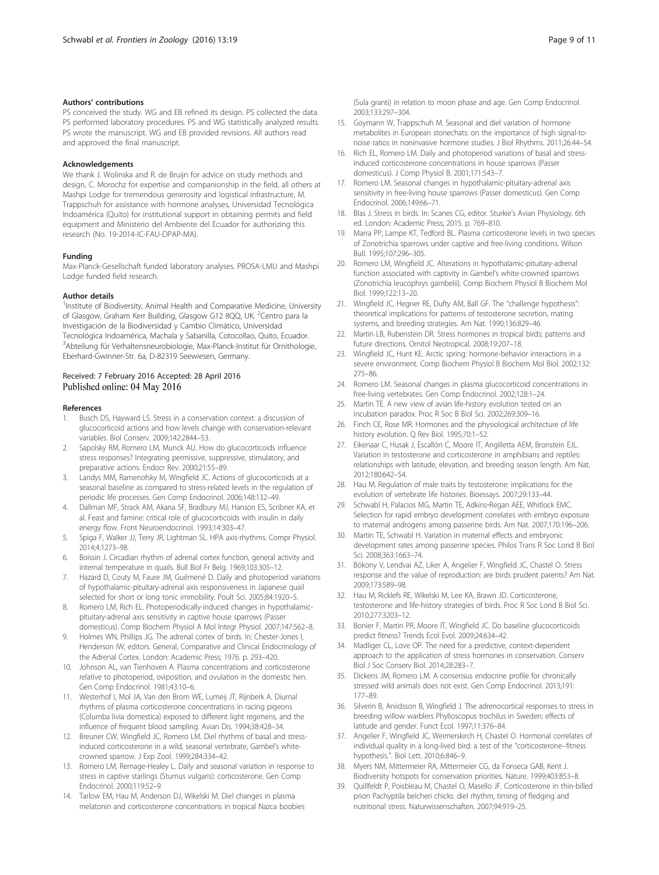#### <span id="page-8-0"></span>Authors' contributions

PS conceived the study. WG and EB refined its design. PS collected the data. PS performed laboratory procedures. PS and WG statistically analyzed results. PS wrote the manuscript. WG and EB provided revisions. All authors read and approved the final manuscript.

#### Acknowledgements

We thank J. Wolinska and R. de Bruijn for advice on study methods and design, C. Morochz for expertise and companionship in the field, all others at Mashpi Lodge for tremendous generosity and logistical infrastructure, M. Trappschuh for assistance with hormone analyses, Universidad Tecnológica Indoamérica (Quito) for institutional support in obtaining permits and field equipment and Ministerio del Ambiente del Ecuador for authorizing this research (No. 19-2014-IC-FAU-DPAP-MA).

#### Funding

Max-Planck-Gesellschaft funded laboratory analyses. PROSA-LMU and Mashpi Lodge funded field research.

#### Author details

<sup>1</sup> Institute of Biodiversity, Animal Health and Comparative Medicine, University of Glasgow, Graham Kerr Building, Glasgow G12 8QQ, UK. <sup>2</sup>Centro para la Investigación de la Biodiversidad y Cambio Climático, Universidad Tecnológica Indoamérica, Machala y Sabanilla, Cotocollao, Quito, Ecuador. 3 Abteilung für Verhaltensneurobiologie, Max-Planck-Institut für Ornithologie, Eberhard-Gwinner-Str. 6a, D-82319 Seewiesen, Germany.

#### Received: 7 February 2016 Accepted: 28 April 2016 Published online: 04 May 2016

#### References

- 1. Busch DS, Hayward LS. Stress in a conservation context: a discussion of glucocorticoid actions and how levels change with conservation-relevant variables. Biol Conserv. 2009;142:2844–53.
- 2. Sapolsky RM, Romero LM, Munck AU. How do glucocorticoids influence stress responses? Integrating permissive, suppressive, stimulatory, and preparative actions. Endocr Rev. 2000;21:55–89.
- 3. Landys MM, Ramenofsky M, Wingfield JC. Actions of glucocorticoids at a seasonal baseline as compared to stress-related levels in the regulation of periodic life processes. Gen Comp Endocrinol. 2006;148:132–49.
- 4. Dallman MF, Strack AM, Akana SF, Bradbury MJ, Hanson ES, Scribner KA, et al. Feast and famine: critical role of glucocorticoids with insulin in daily energy flow. Front Neuroendocrinol. 1993;14:303–47.
- 5. Spiga F, Walker JJ, Terry JR, Lightman SL. HPA axis-rhythms. Compr Physiol. 2014;4:1273–98.
- 6. Boissin J. Circadian rhythm of adrenal cortex function, general activity and internal temperature in quails. Bull Biol Fr Belg. 1969;103:305–12.
- 7. Hazard D, Couty M, Faure JM, Guémené D. Daily and photoperiod variations of hypothalamic-pituitary-adrenal axis responsiveness in Japanese quail selected for short or long tonic immobility. Poult Sci. 2005;84:1920–5.
- 8. Romero LM, Rich EL. Photoperiodically-induced changes in hypothalamicpituitary-adrenal axis sensitivity in captive house sparrows (Passer domesticus). Comp Biochem Physiol A Mol Integr Physiol. 2007;147:562–8.
- 9. Holmes WN, Phillips JG. The adrenal cortex of birds. In: Chester-Jones I, Henderson IW, editors. General, Comparative and Clinical Endocrinology of
- the Adrenal Cortex. London: Academic Press; 1976. p. 293–420. 10. Johnson AL, van Tienhoven A. Plasma concentrations and corticosterone
- relative to photoperiod, oviposition, and ovulation in the domestic hen. Gen Comp Endocrinol. 1981;43:10–6.
- 11. Westerhof I, Mol JA, Van den Brom WE, Lumeij JT, Rijnberk A. Diurnal rhythms of plasma corticosterone concentrations in racing pigeons (Columba livia domestica) exposed to different light regimens, and the influence of frequent blood sampling. Avian Dis. 1994;38:428–34.
- 12. Breuner CW, Wingfield JC, Romero LM. Diel rhythms of basal and stressinduced corticosterone in a wild, seasonal vertebrate, Gambel's whitecrowned sparrow. J Exp Zool. 1999;284:334–42.
- 13. Romero LM, Remage-Healey L. Daily and seasonal variation in response to stress in captive starlings (Sturnus vulgaris): corticosterone. Gen Comp Endocrinol. 2000;119:52–9.
- 14. Tarlow EM, Hau M, Anderson DJ, Wikelski M. Diel changes in plasma melatonin and corticosterone concentrations in tropical Nazca boobies

(Sula granti) in relation to moon phase and age. Gen Comp Endocrinol. 2003;133:297–304.

- 15. Goymann W, Trappschuh M. Seasonal and diel variation of hormone metabolites in European stonechats: on the importance of high signal-tonoise ratios in noninvasive hormone studies. J Biol Rhythms. 2011;26:44–54.
- 16. Rich EL, Romero LM. Daily and photoperiod variations of basal and stressinduced corticosterone concentrations in house sparrows (Passer domesticus). J Comp Physiol B. 2001;171:543–7.
- 17. Romero LM. Seasonal changes in hypothalamic-pituitary-adrenal axis sensitivity in free-living house sparrows (Passer domesticus). Gen Comp Endocrinol. 2006;149:66–71.
- 18. Blas J. Stress in birds. In: Scanes CG, editor. Sturkie's Avian Physiology. 6th ed. London: Academic Press; 2015. p. 769–810.
- 19. Marra PP, Lampe KT, Tedford BL. Plasma corticosterone levels in two species of Zonotrichia sparrows under captive and free-living conditions. Wilson Bull. 1995;107:296–305.
- 20. Romero LM, Wingfield JC. Alterations in hypothalamic-pituitary-adrenal function associated with captivity in Gambel's white-crowned sparrows (Zonotrichia leucophrys gambelii). Comp Biochem Physiol B Biochem Mol Biol. 1999;122:13–20.
- 21. Wingfield JC, Hegner RE, Dufty AM, Ball GF. The "challenge hypothesis": theoretical implications for patterns of testosterone secretion, mating systems, and breeding strategies. Am Nat. 1990;136:829–46.
- 22. Martin LB, Rubenstein DR. Stress hormones in tropical birds: patterns and future directions. Ornitol Neotropical. 2008;19:207–18.
- 23. Wingfield JC, Hunt KE. Arctic spring: hormone-behavior interactions in a severe environment. Comp Biochem Physiol B Biochem Mol Biol. 2002;132: 275–86.
- 24. Romero LM. Seasonal changes in plasma glucocorticoid concentrations in free-living vertebrates. Gen Comp Endocrinol. 2002;128:1–24.
- 25. Martin TE. A new view of avian life-history evolution tested on an incubation paradox. Proc R Soc B Biol Sci. 2002;269:309–16.
- 26. Finch CE, Rose MR. Hormones and the physiological architecture of life history evolution. Q Rev Biol. 1995;70:1–52.
- 27. Eikenaar C, Husak J, Escallón C, Moore IT, Angilletta AEM, Bronstein EJL. Variation in testosterone and corticosterone in amphibians and reptiles: relationships with latitude, elevation, and breeding season length. Am Nat. 2012;180:642–54.
- 28. Hau M. Regulation of male traits by testosterone: implications for the evolution of vertebrate life histories. Bioessays. 2007;29:133–44.
- 29. Schwabl H, Palacios MG, Martin TE, Adkins‐Regan AEE, Whitlock EMC. Selection for rapid embryo development correlates with embryo exposure to maternal androgens among passerine birds. Am Nat. 2007;170:196–206.
- 30. Martin TE, Schwabl H. Variation in maternal effects and embryonic development rates among passerine species. Philos Trans R Soc Lond B Biol Sci. 2008;363:1663–74.
- 31. Bókony V, Lendvai AZ, Liker A, Angelier F, Wingfield JC, Chastel O. Stress response and the value of reproduction: are birds prudent parents? Am Nat. 2009;173:589–98.
- 32. Hau M, Ricklefs RE, Wikelski M, Lee KA, Brawn JD. Corticosterone, testosterone and life-history strategies of birds. Proc R Soc Lond B Biol Sci. 2010;277:3203–12.
- 33. Bonier F, Martin PR, Moore IT, Wingfield JC. Do baseline glucocorticoids predict fitness? Trends Ecol Evol. 2009;24:634–42.
- 34. Madliger CL, Love OP. The need for a predictive, context-dependent approach to the application of stress hormones in conservation. Conserv Biol J Soc Conserv Biol. 2014;28:283–7.
- 35. Dickens JM, Romero LM. A consensus endocrine profile for chronically stressed wild animals does not exist. Gen Comp Endocrinol. 2013;191: 177–89.
- 36. Silverin B, Arvidsson B, Wingfield J. The adrenocortical responses to stress in breeding willow warblers Phylloscopus trochilus in Sweden: effects of latitude and gender. Funct Ecol. 1997;11:376–84.
- 37. Angelier F, Wingfield JC, Weimerskirch H, Chastel O. Hormonal correlates of individual quality in a long-lived bird: a test of the "corticosterone–fitness hypothesis.". Biol Lett. 2010;6:846–9.
- 38. Myers NM, Mittermeier RA, Mittermeier CG, da Fonseca GAB, Kent J. Biodiversity hotspots for conservation priorities. Nature. 1999;403:853–8.
- 39. Quillfeldt P, Poisbleau M, Chastel O, Masello JF. Corticosterone in thin-billed prion Pachyptila belcheri chicks: diel rhythm, timing of fledging and nutritional stress. Naturwissenschaften. 2007;94:919–25.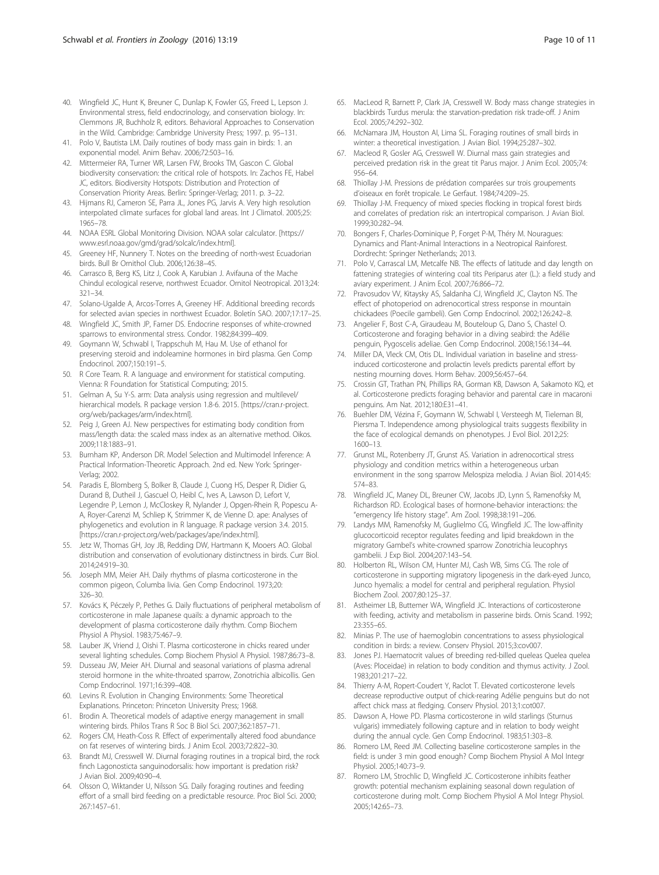- <span id="page-9-0"></span>40. Wingfield JC, Hunt K, Breuner C, Dunlap K, Fowler GS, Freed L, Lepson J. Environmental stress, field endocrinology, and conservation biology. In: Clemmons JR, Buchholz R, editors. Behavioral Approaches to Conservation in the Wild. Cambridge: Cambridge University Press; 1997. p. 95–131.
- 41. Polo V, Bautista LM. Daily routines of body mass gain in birds: 1. an exponential model. Anim Behav. 2006;72:503–16.
- 42. Mittermeier RA, Turner WR, Larsen FW, Brooks TM, Gascon C. Global biodiversity conservation: the critical role of hotspots. In: Zachos FE, Habel JC, editors. Biodiversity Hotspots: Distribution and Protection of Conservation Priority Areas. Berlin: Springer-Verlag; 2011. p. 3–22.
- 43. Hijmans RJ, Cameron SE, Parra JL, Jones PG, Jarvis A. Very high resolution interpolated climate surfaces for global land areas. Int J Climatol. 2005;25: 1965–78.
- 44. NOAA ESRL Global Monitoring Division. NOAA solar calculator. [\[https://](https://www.esrl.noaa.gov/gmd/grad/solcalc/index.html) [www.esrl.noaa.gov/gmd/grad/solcalc/index.html\]](https://www.esrl.noaa.gov/gmd/grad/solcalc/index.html).
- 45. Greeney HF, Nunnery T. Notes on the breeding of north-west Ecuadorian birds. Bull Br Ornithol Club. 2006;126:38–45.
- 46. Carrasco B, Berg KS, Litz J, Cook A, Karubian J. Avifauna of the Mache Chindul ecological reserve, northwest Ecuador. Ornitol Neotropical. 2013;24: 321–34.
- 47. Solano-Ugalde A, Arcos-Torres A, Greeney HF. Additional breeding records for selected avian species in northwest Ecuador. Boletín SAO. 2007;17:17–25.
- 48. Wingfield JC, Smith JP, Farner DS. Endocrine responses of white-crowned sparrows to environmental stress. Condor. 1982;84:399–409.
- 49. Goymann W, Schwabl I, Trappschuh M, Hau M. Use of ethanol for preserving steroid and indoleamine hormones in bird plasma. Gen Comp Endocrinol. 2007;150:191–5.
- 50. R Core Team. R. A language and environment for statistical computing. Vienna: R Foundation for Statistical Computing; 2015.
- 51. Gelman A, Su Y-S. arm: Data analysis using regression and multilevel/ hierarchical models. R package version 1.8-6. 2015. [[https://cran.r-project.](https://cran.r-project.org/web/packages/arm/index.html) [org/web/packages/arm/index.html\]](https://cran.r-project.org/web/packages/arm/index.html).
- 52. Peig J, Green AJ. New perspectives for estimating body condition from mass/length data: the scaled mass index as an alternative method. Oikos. 2009;118:1883–91.
- 53. Burnham KP, Anderson DR. Model Selection and Multimodel Inference: A Practical Information-Theoretic Approach. 2nd ed. New York: Springer-Verlag; 2002.
- 54. Paradis E, Blomberg S, Bolker B, Claude J, Cuong HS, Desper R, Didier G, Durand B, Dutheil J, Gascuel O, Heibl C, Ives A, Lawson D, Lefort V, Legendre P, Lemon J, McCloskey R, Nylander J, Opgen-Rhein R, Popescu A-A, Royer-Carenzi M, Schliep K, Strimmer K, de Vienne D. ape: Analyses of phylogenetics and evolution in R language. R package version 3.4. 2015. [<https://cran.r-project.org/web/packages/ape/index.html>].
- 55. Jetz W, Thomas GH, Joy JB, Redding DW, Hartmann K, Mooers AO. Global distribution and conservation of evolutionary distinctness in birds. Curr Biol. 2014;24:919–30.
- 56. Joseph MM, Meier AH. Daily rhythms of plasma corticosterone in the common pigeon, Columba livia. Gen Comp Endocrinol. 1973;20: 326–30.
- 57. Kovács K, Péczely P, Pethes G. Daily fluctuations of peripheral metabolism of corticosterone in male Japanese quails: a dynamic approach to the development of plasma corticosterone daily rhythm. Comp Biochem Physiol A Physiol. 1983;75:467–9.
- 58. Lauber JK, Vriend J, Oishi T. Plasma corticosterone in chicks reared under several lighting schedules. Comp Biochem Physiol A Physiol. 1987;86:73–8.
- 59. Dusseau JW, Meier AH. Diurnal and seasonal variations of plasma adrenal steroid hormone in the white-throated sparrow, Zonotrichia albicollis. Gen Comp Endocrinol. 1971;16:399–408.
- 60. Levins R. Evolution in Changing Environments: Some Theoretical Explanations. Princeton: Princeton University Press; 1968.
- 61. Brodin A. Theoretical models of adaptive energy management in small wintering birds. Philos Trans R Soc B Biol Sci. 2007;362:1857–71.
- 62. Rogers CM, Heath-Coss R. Effect of experimentally altered food abundance on fat reserves of wintering birds. J Anim Ecol. 2003;72:822–30.
- 63. Brandt MJ, Cresswell W. Diurnal foraging routines in a tropical bird, the rock finch Lagonosticta sanguinodorsalis: how important is predation risk? J Avian Biol. 2009;40:90–4.
- 64. Olsson O, Wiktander U, Nilsson SG. Daily foraging routines and feeding effort of a small bird feeding on a predictable resource. Proc Biol Sci. 2000; 267:1457–61.
- 65. MacLeod R, Barnett P, Clark JA, Cresswell W. Body mass change strategies in blackbirds Turdus merula: the starvation-predation risk trade-off. J Anim Ecol. 2005;74:292–302.
- 66. McNamara JM, Houston AI, Lima SL. Foraging routines of small birds in winter: a theoretical investigation. J Avian Biol. 1994;25:287–302.
- 67. Macleod R, Gosler AG, Cresswell W. Diurnal mass gain strategies and perceived predation risk in the great tit Parus major. J Anim Ecol. 2005;74: 956–64.
- 68. Thiollay J-M. Pressions de prédation comparées sur trois groupements d'oiseaux en forêt tropicale. Le Gerfaut. 1984;74:209–25.
- 69. Thiollay J-M. Frequency of mixed species flocking in tropical forest birds and correlates of predation risk: an intertropical comparison. J Avian Biol. 1999;30:282–94.
- 70. Bongers F, Charles-Dominique P, Forget P-M, Théry M. Nouragues: Dynamics and Plant-Animal Interactions in a Neotropical Rainforest. Dordrecht: Springer Netherlands; 2013.
- 71. Polo V, Carrascal LM, Metcalfe NB. The effects of latitude and day length on fattening strategies of wintering coal tits Periparus ater (L.): a field study and aviary experiment. J Anim Ecol. 2007;76:866–72.
- 72. Pravosudov VV, Kitaysky AS, Saldanha CJ, Wingfield JC, Clayton NS. The effect of photoperiod on adrenocortical stress response in mountain chickadees (Poecile gambeli). Gen Comp Endocrinol. 2002;126:242–8.
- 73. Angelier F, Bost C-A, Giraudeau M, Bouteloup G, Dano S, Chastel O. Corticosterone and foraging behavior in a diving seabird: the Adélie penguin, Pygoscelis adeliae. Gen Comp Endocrinol. 2008;156:134–44.
- 74. Miller DA, Vleck CM, Otis DL. Individual variation in baseline and stressinduced corticosterone and prolactin levels predicts parental effort by nesting mourning doves. Horm Behav. 2009;56:457–64.
- 75. Crossin GT, Trathan PN, Phillips RA, Gorman KB, Dawson A, Sakamoto KQ, et al. Corticosterone predicts foraging behavior and parental care in macaroni penguins. Am Nat. 2012;180:E31–41.
- 76. Buehler DM, Vézina F, Goymann W, Schwabl I, Versteegh M, Tieleman BI, Piersma T. Independence among physiological traits suggests flexibility in the face of ecological demands on phenotypes. J Evol Biol. 2012;25: 1600–13.
- 77. Grunst ML, Rotenberry JT, Grunst AS. Variation in adrenocortical stress physiology and condition metrics within a heterogeneous urban environment in the song sparrow Melospiza melodia. J Avian Biol. 2014;45: 574–83.
- 78. Wingfield JC, Maney DL, Breuner CW, Jacobs JD, Lynn S, Ramenofsky M, Richardson RD. Ecological bases of hormone-behavior interactions: the "emergency life history stage". Am Zool. 1998;38:191–206.
- Landys MM, Ramenofsky M, Guglielmo CG, Wingfield JC. The low-affinity glucocorticoid receptor regulates feeding and lipid breakdown in the migratory Gambel's white-crowned sparrow Zonotrichia leucophrys gambelii. J Exp Biol. 2004;207:143–54.
- 80. Holberton RL, Wilson CM, Hunter MJ, Cash WB, Sims CG. The role of corticosterone in supporting migratory lipogenesis in the dark-eyed Junco, Junco hyemalis: a model for central and peripheral regulation. Physiol Biochem Zool. 2007;80:125–37.
- 81. Astheimer LB, Buttemer WA, Wingfield JC. Interactions of corticosterone with feeding, activity and metabolism in passerine birds. Ornis Scand. 1992; 23:355–65.
- 82. Minias P. The use of haemoglobin concentrations to assess physiological condition in birds: a review. Conserv Physiol. 2015;3:cov007.
- 83. Jones PJ. Haematocrit values of breeding red-billed queleas Quelea quelea (Aves: Ploceidae) in relation to body condition and thymus activity. J Zool. 1983;201:217–22.
- 84. Thierry A-M, Ropert-Coudert Y, Raclot T. Elevated corticosterone levels decrease reproductive output of chick-rearing Adélie penguins but do not affect chick mass at fledging. Conserv Physiol. 2013;1:cot007.
- 85. Dawson A, Howe PD. Plasma corticosterone in wild starlings (Sturnus vulgaris) immediately following capture and in relation to body weight during the annual cycle. Gen Comp Endocrinol. 1983;51:303–8.
- 86. Romero LM, Reed JM. Collecting baseline corticosterone samples in the field: is under 3 min good enough? Comp Biochem Physiol A Mol Integr Physiol. 2005;140:73–9.
- 87. Romero LM, Strochlic D, Wingfield JC. Corticosterone inhibits feather growth: potential mechanism explaining seasonal down regulation of corticosterone during molt. Comp Biochem Physiol A Mol Integr Physiol. 2005;142:65–73.